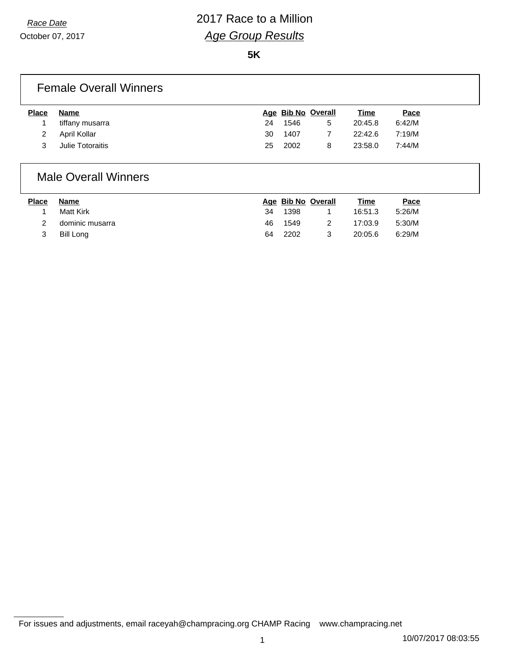# *Race Date* 2017 Race to a Million *Age Group Results*

October 07, 2017

**5K**

### Female Overall Winners

| <b>Place</b> | <b>Name</b>      |    | Age Bib No Overall |   | Time    | Pace   |
|--------------|------------------|----|--------------------|---|---------|--------|
|              | tiffany musarra  | 24 | 1546               | 5 | 20:45.8 | 6:42/M |
|              | April Kollar     | 30 | 1407               |   | 22:42.6 | 7:19/M |
|              | Julie Totoraitis | 25 | 2002               |   | 23:58.0 | 7:44/M |

#### Male Overall Winners

| <b>Place</b> | Name            |     | Age Bib No Overall | Time    | Pace   |
|--------------|-----------------|-----|--------------------|---------|--------|
|              | Matt Kirk       | 34  | 1398               | 16:51.3 | 5:26/M |
|              | dominic musarra | 46. | 1549               | 17:03.9 | 5:30/M |
|              | Bill Long       | 64  | 2202               | 20:05.6 | 6:29/M |

For issues and adjustments, email raceyah@champracing.org CHAMP Racing www.champracing.net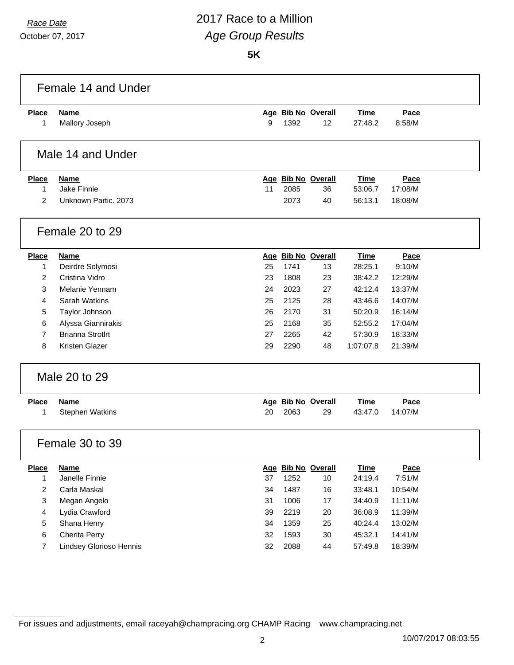October 07, 2017

# *Race Date* 2017 Race to a Million *Age Group Results*

**5K**

|                 | Female 14 and Under     |    |      |                    |             |         |  |
|-----------------|-------------------------|----|------|--------------------|-------------|---------|--|
| <b>Place</b>    | Name                    |    |      | Age Bib No Overall | <b>Time</b> | Pace    |  |
| 1               | Mallory Joseph          | 9  | 1392 | 12                 | 27:48.2     | 8:58/M  |  |
|                 | Male 14 and Under       |    |      |                    |             |         |  |
| <b>Place</b>    | <b>Name</b>             |    |      | Age Bib No Overall | <b>Time</b> | Pace    |  |
| 1               | Jake Finnie             | 11 | 2085 | 36                 | 53:06.7     | 17:08/M |  |
| 2               | Unknown Partic, 2073    |    | 2073 | 40                 | 56:13.1     | 18:08/M |  |
|                 | Female 20 to 29         |    |      |                    |             |         |  |
| <b>Place</b>    | <b>Name</b>             |    |      | Age Bib No Overall | <b>Time</b> | Pace    |  |
| 1               | Deirdre Solymosi        | 25 | 1741 | 13                 | 28:25.1     | 9:10/M  |  |
| 2               | Cristina Vidro          | 23 | 1808 | 23                 | 38:42.2     | 12:29/M |  |
| 3               | Melanie Yennam          | 24 | 2023 | 27                 | 42:12.4     | 13:37/M |  |
| 4               | Sarah Watkins           | 25 | 2125 | 28                 | 43:46.6     | 14:07/M |  |
| 5               | Taylor Johnson          | 26 | 2170 | 31                 | 50:20.9     | 16:14/M |  |
| 6               | Alyssa Giannirakis      | 25 | 2168 | 35                 | 52:55.2     | 17:04/M |  |
| 7               | <b>Brianna Strotlrt</b> | 27 | 2265 | 42                 | 57:30.9     | 18:33/M |  |
| 8               | Kristen Glazer          | 29 | 2290 | 48                 | 1:07:07.8   | 21:39/M |  |
| Male 20 to 29   |                         |    |      |                    |             |         |  |
| <b>Place</b>    | <b>Name</b>             |    |      | Age Bib No Overall | <b>Time</b> | Pace    |  |
| 1               | <b>Stephen Watkins</b>  | 20 | 2063 | 29                 | 43:47.0     | 14:07/M |  |
| Female 30 to 39 |                         |    |      |                    |             |         |  |
| <b>Place</b>    | <b>Name</b>             |    |      | Age Bib No Overall | <b>Time</b> | Pace    |  |
| 1               | Janelle Finnie          | 37 | 1252 | 10                 | 24:19.4     | 7:51/M  |  |
| 2               | Carla Maskal            | 34 | 1487 | 16                 | 33:48.1     | 10:54/M |  |
| 3               | Megan Angelo            | 31 | 1006 | 17                 | 34:40.9     | 11:11/M |  |
| 4               | Lydia Crawford          | 39 | 2219 | 20                 | 36:08.9     | 11:39/M |  |
| 5               | Shana Henry             | 34 | 1359 | 25                 | 40:24.4     | 13:02/M |  |
| 6               | Cherita Perry           | 32 | 1593 | $30\,$             | 45:32.1     | 14:41/M |  |
| 7               | Lindsey Glorioso Hennis | 32 | 2088 | 44                 | 57:49.8     | 18:39/M |  |
|                 |                         |    |      |                    |             |         |  |

For issues and adjustments, email raceyah@champracing.org CHAMP Racing www.champracing.net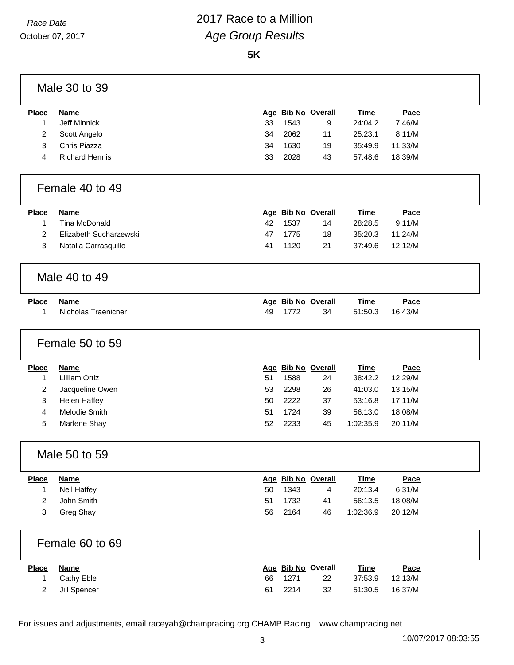## *Race Date* 2017 Race to a Million *Age Group Results*

**5K**

|                | Male 30 to 39          |    |      |                    |             |         |
|----------------|------------------------|----|------|--------------------|-------------|---------|
| <b>Place</b>   | <b>Name</b>            |    |      | Age Bib No Overall | <b>Time</b> | Pace    |
| $\mathbf{1}$   | Jeff Minnick           | 33 | 1543 | 9                  | 24:04.2     | 7:46/M  |
| $\overline{2}$ | Scott Angelo           | 34 | 2062 | 11                 | 25:23.1     | 8:11/M  |
| 3              | Chris Piazza           | 34 | 1630 | 19                 | 35:49.9     | 11:33/M |
| 4              | <b>Richard Hennis</b>  | 33 | 2028 | 43                 | 57:48.6     | 18:39/M |
|                | Female 40 to 49        |    |      |                    |             |         |
| <b>Place</b>   | <b>Name</b>            |    |      | Age Bib No Overall | <b>Time</b> | Pace    |
| $\mathbf 1$    | Tina McDonald          | 42 | 1537 | 14                 | 28:28.5     | 9:11/M  |
| 2              | Elizabeth Sucharzewski | 47 | 1775 | 18                 | 35:20.3     | 11:24/M |
| 3              | Natalia Carrasquillo   | 41 | 1120 | 21                 | 37:49.6     | 12:12/M |
|                | Male 40 to 49          |    |      |                    |             |         |
| <b>Place</b>   | <b>Name</b>            |    |      | Age Bib No Overall | <b>Time</b> | Pace    |
| 1              | Nicholas Traenicner    | 49 | 1772 | 34                 | 51:50.3     | 16:43/M |
|                | Female 50 to 59        |    |      |                    |             |         |
| <b>Place</b>   | <b>Name</b>            |    |      | Age Bib No Overall | <b>Time</b> | Pace    |
| $\mathbf 1$    | <b>Lilliam Ortiz</b>   | 51 | 1588 | 24                 | 38:42.2     | 12:29/M |
| $\overline{2}$ | Jacqueline Owen        | 53 | 2298 | 26                 | 41:03.0     | 13:15/M |
| 3              | <b>Helen Haffey</b>    | 50 | 2222 | 37                 | 53:16.8     | 17:11/M |
| $\overline{4}$ | Melodie Smith          | 51 | 1724 | 39                 | 56:13.0     | 18:08/M |
| 5              | Marlene Shay           | 52 | 2233 | 45                 | 1:02:35.9   | 20:11/M |
|                | Male 50 to 59          |    |      |                    |             |         |
| <b>Place</b>   | <b>Name</b>            |    |      | Age Bib No Overall | <b>Time</b> | Pace    |
| $\mathbf 1$    | Neil Haffey            | 50 | 1343 | 4                  | 20:13.4     | 6:31/M  |
| $\overline{c}$ | John Smith             | 51 | 1732 | 41                 | 56:13.5     | 18:08/M |
| 3              | Greg Shay              | 56 | 2164 | 46                 | 1:02:36.9   | 20:12/M |
|                | Female 60 to 69        |    |      |                    |             |         |
| <b>Place</b>   | <b>Name</b>            |    |      | Age Bib No Overall | <b>Time</b> | Pace    |
| 1              | Cathy Eble             | 66 | 1271 | 22                 | 37:53.9     | 12:13/M |
| 2              | Jill Spencer           | 61 | 2214 | 32                 | 51:30.5     | 16:37/M |
|                |                        |    |      |                    |             |         |

For issues and adjustments, email raceyah@champracing.org CHAMP Racing www.champracing.net